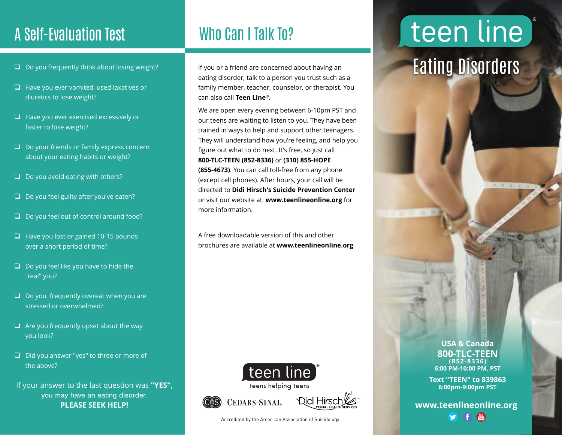### A Self-Evaluation Test Who Can I Talk To?

- $\Box$  Do you frequently think about losing weight?
- ❑ Have you ever vomited, used laxatives or diuretics to lose weight?
- ❑ Have you ever exercised excessively or faster to lose weight?
- ❑ Do your friends or family express concern about your eating habits or weight?
- $\Box$  Do you avoid eating with others?
- ❑ Do you feel guilty after you've eaten?
- ❑ Do you feel out of control around food?
- ❑ Have you lost or gained 10-15 pounds over a short period of time?
- ❑ Do you feel like you have to hide the "real" you?
- $\Box$  Do you frequently overeat when you are stressed or overwhelmed?
- $\Box$  Are you frequently upset about the way you look?
- ❑ Did you answer "yes" to three or more of the above?
- If your answer to the last question was **"YES"**, you may have an eating disorder. **PLEASE SEEK HELP!**

If you or a friend are concerned about having an eating disorder, talk to a person you trust such as a family member, teacher, counselor, or therapist. You can also call **Teen Line**®.

We are open every evening between 6-10pm PST and our teens are waiting to listen to you. They have been trained in ways to help and support other teenagers. They will understand how you're feeling, and help you figure out what to do next. It's free, so just call **800-TLC-TEEN (852-8336)** or **(310) 855-HOPE (855-4673)**. You can call toll-free from any phone (except cell phones). After hours, your call will be directed to **Didi Hirsch's Suicide Prevention Center** or visit our website at: **www.teenlineonline.org** for more information.

A free downloadable version of this and other brochures are available at **www.teenlineonline.org**







Accredited by the American Association of Suicidology

teen line)

## Eating Disorders

**USA & Canada 800-TLC-TEEN (852-8336) 6:00 PM-10:00 PM, PST**

**Text "TEEN" to 839863 6:00pm-9:00pm PST**

**www.teenlineonline.org**